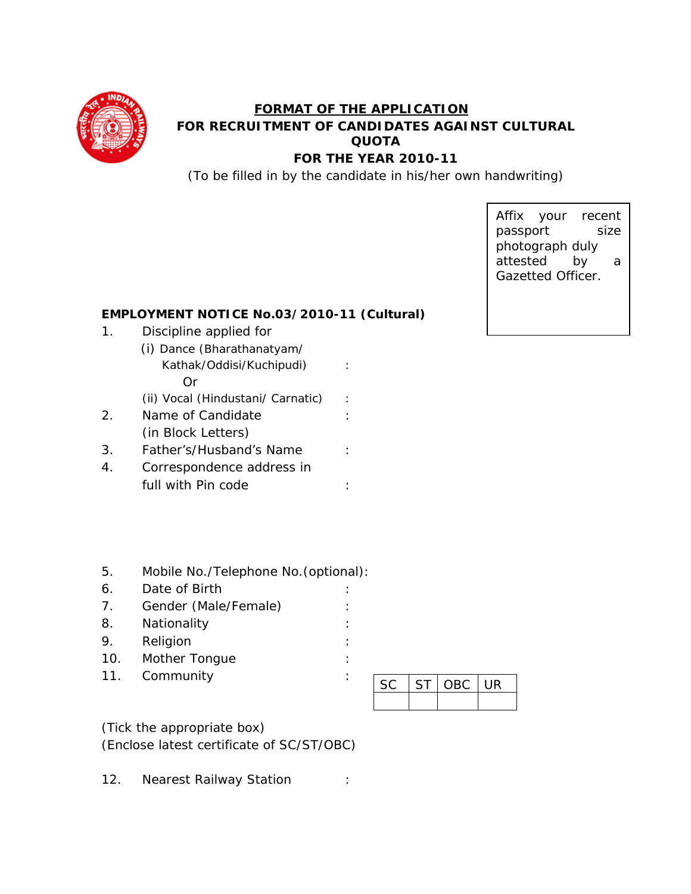

## **FORMAT OF THE APPLICATION FOR RECRUITMENT OF CANDIDATES AGAINST CULTURAL QUOTA FOR THE YEAR 2010-11**

(To be filled in by the candidate in his/her own handwriting)

Affix your recent passport size photograph duly attested by a Gazetted Officer.

## **EMPLOYMENT NOTICE No.03/2010-11 (Cultural)**

- 1. Discipline applied for
	- (i) Dance (Bharathanatyam/ Kathak/Oddisi/Kuchipudi) : Or
		- (ii) Vocal (Hindustani/ Carnatic) :
- 2. Name of Candidate : (in Block Letters)
- 3. Father's/Husband's Name :
- 4. Correspondence address in full with Pin code  $\qquad \qquad :$
- 5. Mobile No./Telephone No.(optional):
- 6. Date of Birth :
- 7. Gender (Male/Female) :
- 8. Nationality :
- 9. Religion :
- 10. Mother Tonque : the state of the state of the state of the state of the state of the state of the state of the state of the state of the state of the state of the state of the state of the state of the state of the sta
- 11. Community :

| SC<br>ST. |  | OBC UR |  |
|-----------|--|--------|--|
|           |  |        |  |

(Tick the appropriate box) (Enclose latest certificate of SC/ST/OBC)

12. Nearest Railway Station :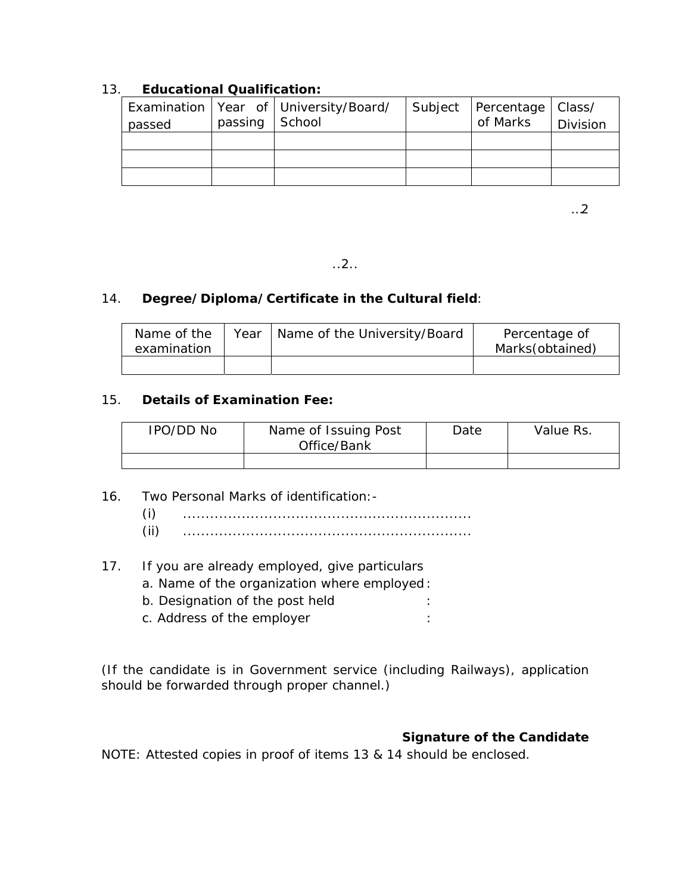## 13. **Educational Qualification:**

| passed | passing $\vert$ School | Examination   Year of   University/Board/ | Subject   Percentage   Class/<br>of Marks | Division |
|--------|------------------------|-------------------------------------------|-------------------------------------------|----------|
|        |                        |                                           |                                           |          |
|        |                        |                                           |                                           |          |
|        |                        |                                           |                                           |          |

…2

..2..

## 14. **Degree/Diploma/Certificate in the Cultural field**:

| Name of the<br>examination | Year | Name of the University/Board | Percentage of<br>Marks(obtained) |
|----------------------------|------|------------------------------|----------------------------------|
|                            |      |                              |                                  |

## 15. **Details of Examination Fee:**

| IPO/DD No | Name of Issuing Post<br>Office/Bank | Date | Value Rs. |
|-----------|-------------------------------------|------|-----------|
|           |                                     |      |           |

16. Two Personal Marks of identification:-

- (i) ................................................................ (ii) ................................................................
- 17. If you are already employed, give particulars
	- a. Name of the organization where employed :
	- b. Designation of the post held :
	- c. Address of the employer is the state of the employer  $\cdot$

(If the candidate is in Government service (including Railways), application should be forwarded through proper channel.)

## **Signature of the Candidate**

NOTE: Attested copies in proof of items 13 & 14 should be enclosed.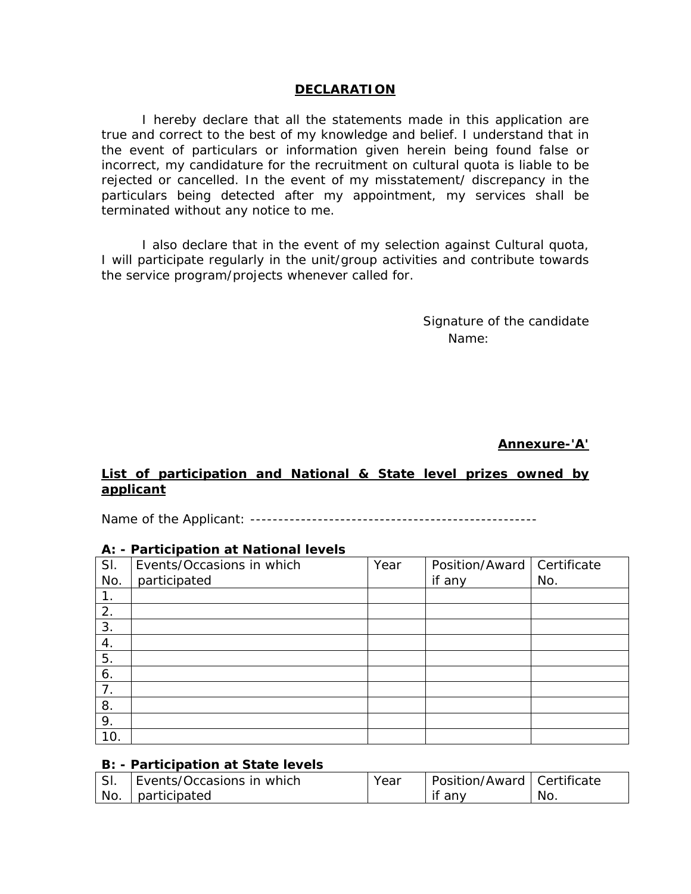#### **DECLARATION**

I hereby declare that all the statements made in this application are true and correct to the best of my knowledge and belief. I understand that in the event of particulars or information given herein being found false or incorrect, my candidature for the recruitment on cultural quota is liable to be rejected or cancelled. In the event of my misstatement/ discrepancy in the particulars being detected after my appointment, my services shall be terminated without any notice to me.

I also declare that in the event of my selection against Cultural quota, I will participate regularly in the unit/group activities and contribute towards the service program/projects whenever called for.

> Signature of the candidate Name:

> > **Annexure-'A'**

## **List of participation and National & State level prizes owned by applicant**

Name of the Applicant: ---------------------------------------------------

|     | A: - Participation at National levels |      |                |             |  |  |  |
|-----|---------------------------------------|------|----------------|-------------|--|--|--|
| SI. | Events/Occasions in which             | Year | Position/Award | Certificate |  |  |  |
| No. | participated                          |      | if any         | No.         |  |  |  |
| 1.  |                                       |      |                |             |  |  |  |
| 2.  |                                       |      |                |             |  |  |  |
| 3.  |                                       |      |                |             |  |  |  |
| 4.  |                                       |      |                |             |  |  |  |
| 5.  |                                       |      |                |             |  |  |  |
| 6.  |                                       |      |                |             |  |  |  |
| 7.  |                                       |      |                |             |  |  |  |
| 8.  |                                       |      |                |             |  |  |  |
| 9.  |                                       |      |                |             |  |  |  |
| 10. |                                       |      |                |             |  |  |  |

# **A: - Participation at National levels**

#### **B: - Participation at State levels**

| SI. | Events/Occasions in which | Year | Position/Award   Certificate |     |
|-----|---------------------------|------|------------------------------|-----|
| No. | participated              |      | if<br>any                    | No. |